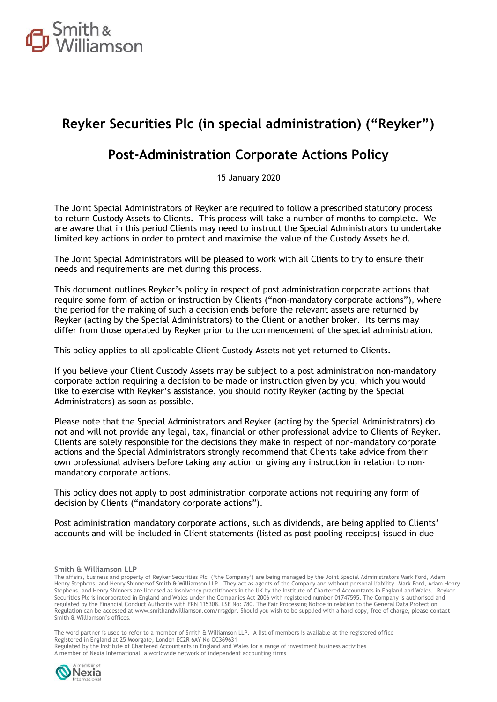

## **Reyker Securities Plc (in special administration) ("Reyker")**

### **Post-Administration Corporate Actions Policy**

15 January 2020

The Joint Special Administrators of Reyker are required to follow a prescribed statutory process to return Custody Assets to Clients. This process will take a number of months to complete. We are aware that in this period Clients may need to instruct the Special Administrators to undertake limited key actions in order to protect and maximise the value of the Custody Assets held.

The Joint Special Administrators will be pleased to work with all Clients to try to ensure their needs and requirements are met during this process.

This document outlines Reyker's policy in respect of post administration corporate actions that require some form of action or instruction by Clients ("non-mandatory corporate actions"), where the period for the making of such a decision ends before the relevant assets are returned by Reyker (acting by the Special Administrators) to the Client or another broker. Its terms may differ from those operated by Reyker prior to the commencement of the special administration.

This policy applies to all applicable Client Custody Assets not yet returned to Clients.

If you believe your Client Custody Assets may be subject to a post administration non-mandatory corporate action requiring a decision to be made or instruction given by you, which you would like to exercise with Reyker's assistance, you should notify Reyker (acting by the Special Administrators) as soon as possible.

Please note that the Special Administrators and Reyker (acting by the Special Administrators) do not and will not provide any legal, tax, financial or other professional advice to Clients of Reyker. Clients are solely responsible for the decisions they make in respect of non-mandatory corporate actions and the Special Administrators strongly recommend that Clients take advice from their own professional advisers before taking any action or giving any instruction in relation to nonmandatory corporate actions.

This policy does not apply to post administration corporate actions not requiring any form of decision by Clients ("mandatory corporate actions").

Post administration mandatory corporate actions, such as dividends, are being applied to Clients' accounts and will be included in Client statements (listed as post pooling receipts) issued in due

#### **Smith & Williamson LLP**

The affairs, business and property of Reyker Securities Plc ('the Company') are being managed by the Joint Special Administrators Mark Ford, Adam Henry Stephens, and Henry Shinnersof Smith & Williamson LLP. They act as agents of the Company and without personal liability. Mark Ford, Adam Henry Stephens, and Henry Shinners are licensed as insolvency practitioners in the UK by the Institute of Chartered Accountants in England and Wales. Reyker Securities Plc is incorporated in England and Wales under the Companies Act 2006 with registered number 01747595. The Company is authorised and regulated by the Financial Conduct Authority with FRN 115308. LSE No: 780. The Fair Processing Notice in relation to the General Data Protection Regulation can be accessed at www.smithandwilliamson.com/rrsgdpr. Should you wish to be supplied with a hard copy, free of charge, please contact Smith & Williamson's offices.

The word partner is used to refer to a member of Smith & Williamson LLP. A list of members is available at the registered office Registered in England at 25 Moorgate, London EC2R 6AY No OC369631 Regulated by the Institute of Chartered Accountants in England and Wales for a range of investment business activities A member of Nexia International, a worldwide network of independent accounting firms

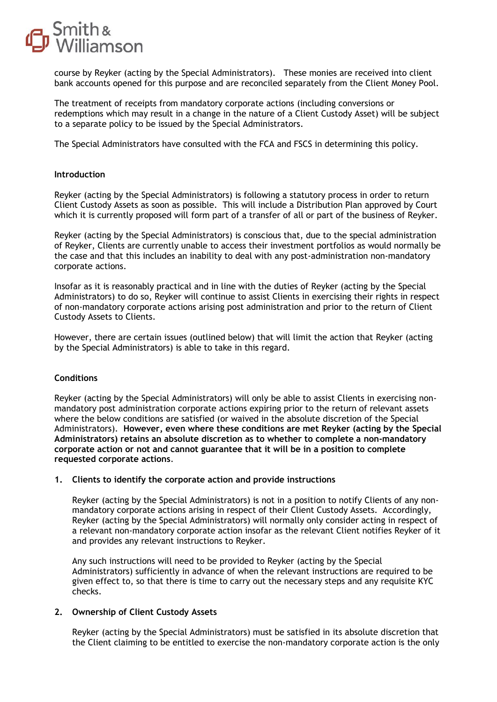

course by Reyker (acting by the Special Administrators). These monies are received into client bank accounts opened for this purpose and are reconciled separately from the Client Money Pool.

The treatment of receipts from mandatory corporate actions (including conversions or redemptions which may result in a change in the nature of a Client Custody Asset) will be subject to a separate policy to be issued by the Special Administrators.

The Special Administrators have consulted with the FCA and FSCS in determining this policy.

#### **Introduction**

Reyker (acting by the Special Administrators) is following a statutory process in order to return Client Custody Assets as soon as possible. This will include a Distribution Plan approved by Court which it is currently proposed will form part of a transfer of all or part of the business of Reyker.

Reyker (acting by the Special Administrators) is conscious that, due to the special administration of Reyker, Clients are currently unable to access their investment portfolios as would normally be the case and that this includes an inability to deal with any post-administration non-mandatory corporate actions.

Insofar as it is reasonably practical and in line with the duties of Reyker (acting by the Special Administrators) to do so, Reyker will continue to assist Clients in exercising their rights in respect of non-mandatory corporate actions arising post administration and prior to the return of Client Custody Assets to Clients.

However, there are certain issues (outlined below) that will limit the action that Reyker (acting by the Special Administrators) is able to take in this regard.

#### **Conditions**

Reyker (acting by the Special Administrators) will only be able to assist Clients in exercising nonmandatory post administration corporate actions expiring prior to the return of relevant assets where the below conditions are satisfied (or waived in the absolute discretion of the Special Administrators). **However, even where these conditions are met Reyker (acting by the Special Administrators) retains an absolute discretion as to whether to complete a non-mandatory corporate action or not and cannot guarantee that it will be in a position to complete requested corporate actions**.

#### **1. Clients to identify the corporate action and provide instructions**

Reyker (acting by the Special Administrators) is not in a position to notify Clients of any nonmandatory corporate actions arising in respect of their Client Custody Assets. Accordingly, Reyker (acting by the Special Administrators) will normally only consider acting in respect of a relevant non-mandatory corporate action insofar as the relevant Client notifies Reyker of it and provides any relevant instructions to Reyker.

Any such instructions will need to be provided to Reyker (acting by the Special Administrators) sufficiently in advance of when the relevant instructions are required to be given effect to, so that there is time to carry out the necessary steps and any requisite KYC checks.

#### **2. Ownership of Client Custody Assets**

Reyker (acting by the Special Administrators) must be satisfied in its absolute discretion that the Client claiming to be entitled to exercise the non-mandatory corporate action is the only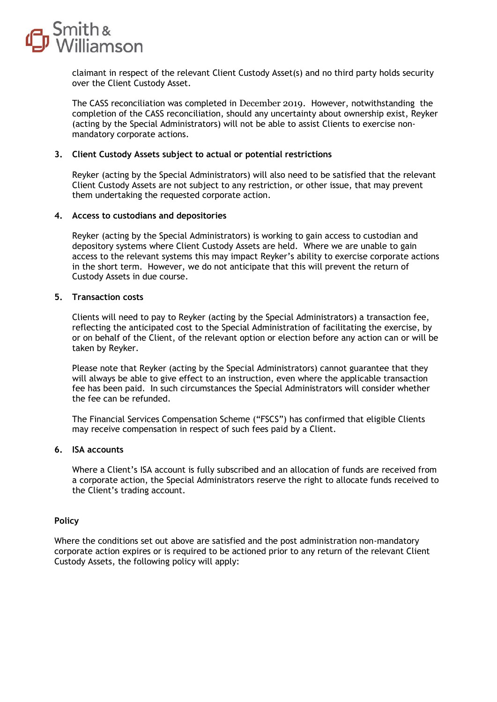

claimant in respect of the relevant Client Custody Asset(s) and no third party holds security over the Client Custody Asset.

The CASS reconciliation was completed in December 2019. However, notwithstanding the completion of the CASS reconciliation, should any uncertainty about ownership exist, Reyker (acting by the Special Administrators) will not be able to assist Clients to exercise nonmandatory corporate actions.

#### **3. Client Custody Assets subject to actual or potential restrictions**

Reyker (acting by the Special Administrators) will also need to be satisfied that the relevant Client Custody Assets are not subject to any restriction, or other issue, that may prevent them undertaking the requested corporate action.

#### **4. Access to custodians and depositories**

Reyker (acting by the Special Administrators) is working to gain access to custodian and depository systems where Client Custody Assets are held. Where we are unable to gain access to the relevant systems this may impact Reyker's ability to exercise corporate actions in the short term. However, we do not anticipate that this will prevent the return of Custody Assets in due course.

#### **5. Transaction costs**

Clients will need to pay to Reyker (acting by the Special Administrators) a transaction fee, reflecting the anticipated cost to the Special Administration of facilitating the exercise, by or on behalf of the Client, of the relevant option or election before any action can or will be taken by Reyker.

Please note that Reyker (acting by the Special Administrators) cannot guarantee that they will always be able to give effect to an instruction, even where the applicable transaction fee has been paid. In such circumstances the Special Administrators will consider whether the fee can be refunded.

The Financial Services Compensation Scheme ("FSCS") has confirmed that eligible Clients may receive compensation in respect of such fees paid by a Client.

#### **6. ISA accounts**

Where a Client's ISA account is fully subscribed and an allocation of funds are received from a corporate action, the Special Administrators reserve the right to allocate funds received to the Client's trading account.

#### **Policy**

Where the conditions set out above are satisfied and the post administration non-mandatory corporate action expires or is required to be actioned prior to any return of the relevant Client Custody Assets, the following policy will apply: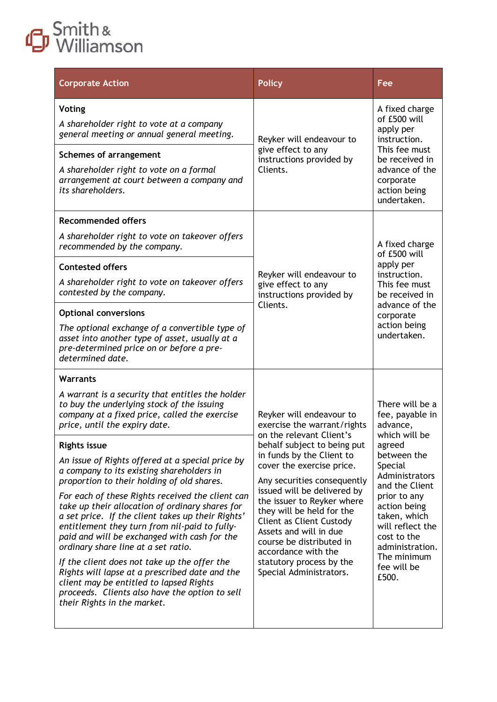# Smith &

| <b>Policy</b>                                                                                                                                                | Fee                                                                                                                                                          |                                                                                                                                                                                   |                                                                                                                                                                                                                                                                                      |
|--------------------------------------------------------------------------------------------------------------------------------------------------------------|--------------------------------------------------------------------------------------------------------------------------------------------------------------|-----------------------------------------------------------------------------------------------------------------------------------------------------------------------------------|--------------------------------------------------------------------------------------------------------------------------------------------------------------------------------------------------------------------------------------------------------------------------------------|
| Reyker will endeavour to<br>give effect to any<br>instructions provided by<br>Clients.                                                                       | A fixed charge<br>of £500 will<br>apply per<br>instruction.<br>This fee must<br>be received in<br>advance of the<br>corporate                                |                                                                                                                                                                                   |                                                                                                                                                                                                                                                                                      |
|                                                                                                                                                              | action being<br>undertaken.                                                                                                                                  |                                                                                                                                                                                   |                                                                                                                                                                                                                                                                                      |
| Reyker will endeavour to<br>give effect to any<br>instructions provided by<br>Clients.                                                                       | A fixed charge<br>of £500 will<br>apply per<br>instruction.<br>This fee must<br>be received in<br>advance of the<br>corporate<br>action being<br>undertaken. |                                                                                                                                                                                   |                                                                                                                                                                                                                                                                                      |
|                                                                                                                                                              |                                                                                                                                                              | Reyker will endeavour to<br>exercise the warrant/rights                                                                                                                           | There will be a<br>fee, payable in<br>advance,<br>which will be<br>agreed<br>between the<br>Special<br>Administrators<br>and the Client<br>prior to any<br>action being<br>taken, which<br>will reflect the<br>cost to the<br>administration.<br>The minimum<br>fee will be<br>£500. |
|                                                                                                                                                              |                                                                                                                                                              | behalf subject to being put<br>in funds by the Client to<br>cover the exercise price.<br>Any securities consequently<br>issued will be delivered by<br>the issuer to Reyker where |                                                                                                                                                                                                                                                                                      |
| Client as Client Custody<br>Assets and will in due<br>course be distributed in<br>accordance with the<br>statutory process by the<br>Special Administrators. |                                                                                                                                                              |                                                                                                                                                                                   |                                                                                                                                                                                                                                                                                      |
|                                                                                                                                                              | on the relevant Client's<br>they will be held for the                                                                                                        |                                                                                                                                                                                   |                                                                                                                                                                                                                                                                                      |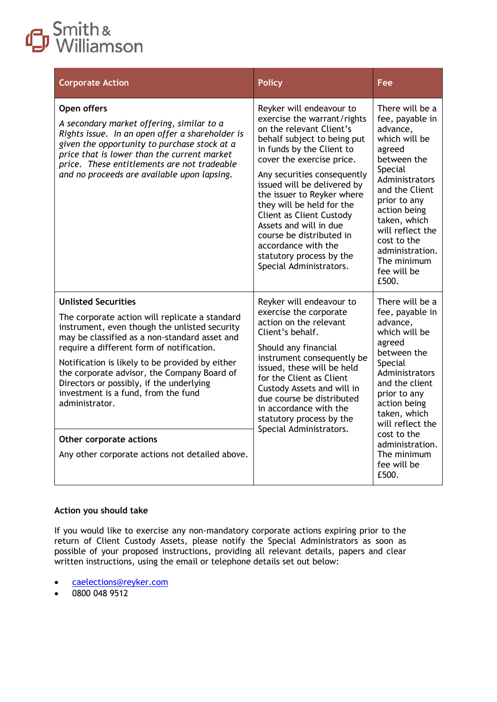## Smith &

| <b>Corporate Action</b>                                                                                                                                                                                                                                                                                                                                                                                                                                                                                          | <b>Policy</b>                                                                                                                                                                                                                                                                                                                                                                                                                                                                | Fee                                                                                                                                                                                                                                                                                  |
|------------------------------------------------------------------------------------------------------------------------------------------------------------------------------------------------------------------------------------------------------------------------------------------------------------------------------------------------------------------------------------------------------------------------------------------------------------------------------------------------------------------|------------------------------------------------------------------------------------------------------------------------------------------------------------------------------------------------------------------------------------------------------------------------------------------------------------------------------------------------------------------------------------------------------------------------------------------------------------------------------|--------------------------------------------------------------------------------------------------------------------------------------------------------------------------------------------------------------------------------------------------------------------------------------|
| Open offers<br>A secondary market offering, similar to a<br>Rights issue. In an open offer a shareholder is<br>given the opportunity to purchase stock at a<br>price that is lower than the current market<br>price. These entitlements are not tradeable<br>and no proceeds are available upon lapsing.                                                                                                                                                                                                         | Reyker will endeavour to<br>exercise the warrant/rights<br>on the relevant Client's<br>behalf subject to being put<br>in funds by the Client to<br>cover the exercise price.<br>Any securities consequently<br>issued will be delivered by<br>the issuer to Reyker where<br>they will be held for the<br><b>Client as Client Custody</b><br>Assets and will in due<br>course be distributed in<br>accordance with the<br>statutory process by the<br>Special Administrators. | There will be a<br>fee, payable in<br>advance,<br>which will be<br>agreed<br>between the<br>Special<br>Administrators<br>and the Client<br>prior to any<br>action being<br>taken, which<br>will reflect the<br>cost to the<br>administration.<br>The minimum<br>fee will be<br>£500. |
| <b>Unlisted Securities</b><br>The corporate action will replicate a standard<br>instrument, even though the unlisted security<br>may be classified as a non-standard asset and<br>require a different form of notification.<br>Notification is likely to be provided by either<br>the corporate advisor, the Company Board of<br>Directors or possibly, if the underlying<br>investment is a fund, from the fund<br>administrator.<br>Other corporate actions<br>Any other corporate actions not detailed above. | Reyker will endeavour to<br>exercise the corporate<br>action on the relevant<br>Client's behalf.<br>Should any financial<br>instrument consequently be<br>issued, these will be held<br>for the Client as Client<br>Custody Assets and will in<br>due course be distributed<br>in accordance with the<br>statutory process by the<br>Special Administrators.                                                                                                                 | There will be a<br>fee, payable in<br>advance,<br>which will be<br>agreed<br>between the<br>Special<br>Administrators<br>and the client<br>prior to any<br>action being<br>taken, which<br>will reflect the<br>cost to the<br>administration.<br>The minimum<br>fee will be<br>£500. |

#### **Action you should take**

If you would like to exercise any non-mandatory corporate actions expiring prior to the return of Client Custody Assets, please notify the Special Administrators as soon as possible of your proposed instructions, providing all relevant details, papers and clear written instructions, using the email or telephone details set out below:

- [caelections@reyker.com](mailto:caelections@reyker.com)
- 0800 048 9512